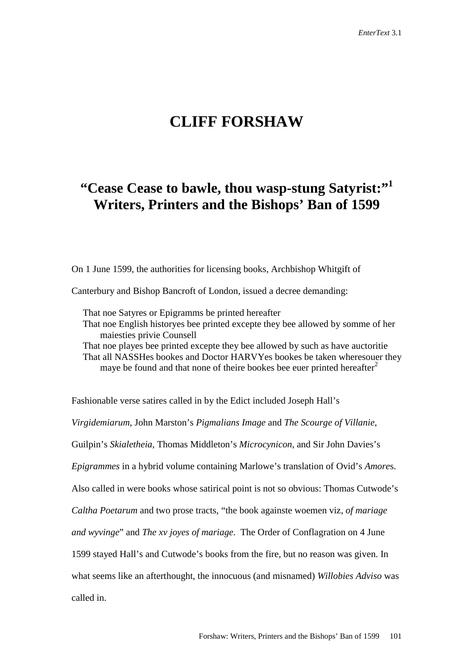# **CLIFF FORSHAW**

## **"Cease Cease to bawle, thou wasp-stung Satyrist:"1 Writers, Printers and the Bishops' Ban of 1599**

On 1 June 1599, the authorities for licensing books, Archbishop Whitgift of

Canterbury and Bishop Bancroft of London, issued a decree demanding:

That noe Satyres or Epigramms be printed hereafter That noe English historyes bee printed excepte they bee allowed by somme of her maiesties privie Counsell That noe playes bee printed excepte they bee allowed by such as have auctoritie That all NASSHes bookes and Doctor HARVYes bookes be taken wheresouer they

maye be found and that none of theire bookes bee euer printed hereafter<sup>2</sup>

Fashionable verse satires called in by the Edict included Joseph Hall's *Virgidemiarum*, John Marston's *Pigmalians Image* and *The Scourge of Villanie*, Guilpin's *Skialetheia*, Thomas Middleton's *Microcynicon*, and Sir John Davies's *Epigrammes* in a hybrid volume containing Marlowe's translation of Ovid's *Amore*s. Also called in were books whose satirical point is not so obvious: Thomas Cutwode's *Caltha Poetarum* and two prose tracts, "the book againste woemen viz, *of mariage and wyvinge*" and *The xv joyes of mariage*. The Order of Conflagration on 4 June 1599 stayed Hall's and Cutwode's books from the fire, but no reason was given. In what seems like an afterthought, the innocuous (and misnamed) *Willobies Adviso* was called in.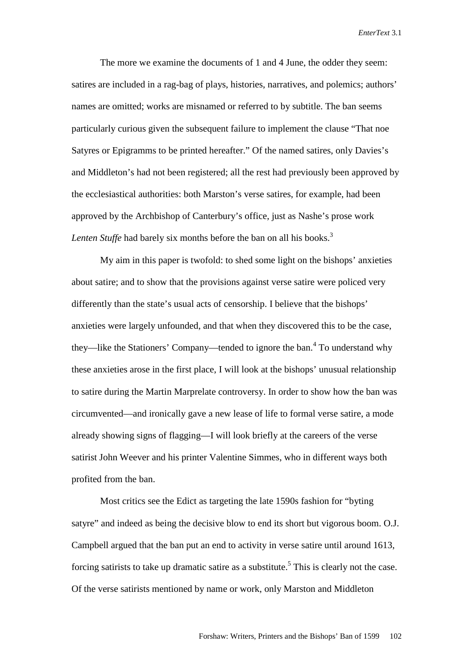The more we examine the documents of 1 and 4 June, the odder they seem: satires are included in a rag-bag of plays, histories, narratives, and polemics; authors' names are omitted; works are misnamed or referred to by subtitle. The ban seems particularly curious given the subsequent failure to implement the clause "That noe Satyres or Epigramms to be printed hereafter." Of the named satires, only Davies's and Middleton's had not been registered; all the rest had previously been approved by the ecclesiastical authorities: both Marston's verse satires, for example, had been approved by the Archbishop of Canterbury's office, just as Nashe's prose work *Lenten Stuffe* had barely six months before the ban on all his books.<sup>3</sup>

My aim in this paper is twofold: to shed some light on the bishops' anxieties about satire; and to show that the provisions against verse satire were policed very differently than the state's usual acts of censorship. I believe that the bishops' anxieties were largely unfounded, and that when they discovered this to be the case, they—like the Stationers' Company—tended to ignore the ban.<sup>4</sup> To understand why these anxieties arose in the first place, I will look at the bishops' unusual relationship to satire during the Martin Marprelate controversy. In order to show how the ban was circumvented—and ironically gave a new lease of life to formal verse satire, a mode already showing signs of flagging—I will look briefly at the careers of the verse satirist John Weever and his printer Valentine Simmes, who in different ways both profited from the ban.

Most critics see the Edict as targeting the late 1590s fashion for "byting satyre" and indeed as being the decisive blow to end its short but vigorous boom. O.J. Campbell argued that the ban put an end to activity in verse satire until around 1613, forcing satirists to take up dramatic satire as a substitute.<sup>5</sup> This is clearly not the case. Of the verse satirists mentioned by name or work, only Marston and Middleton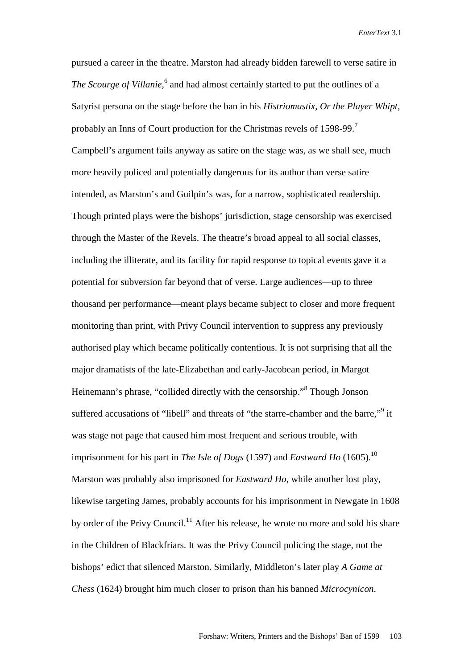pursued a career in the theatre. Marston had already bidden farewell to verse satire in The Scourge of Villanie,<sup>6</sup> and had almost certainly started to put the outlines of a Satyrist persona on the stage before the ban in his *Histriomastix, Or the Player Whipt*, probably an Inns of Court production for the Christmas revels of  $1598-99$ .<sup>7</sup> Campbell's argument fails anyway as satire on the stage was, as we shall see, much more heavily policed and potentially dangerous for its author than verse satire intended, as Marston's and Guilpin's was, for a narrow, sophisticated readership. Though printed plays were the bishops' jurisdiction, stage censorship was exercised through the Master of the Revels. The theatre's broad appeal to all social classes, including the illiterate, and its facility for rapid response to topical events gave it a potential for subversion far beyond that of verse. Large audiences—up to three thousand per performance—meant plays became subject to closer and more frequent monitoring than print, with Privy Council intervention to suppress any previously authorised play which became politically contentious. It is not surprising that all the major dramatists of the late-Elizabethan and early-Jacobean period, in Margot Heinemann's phrase, "collided directly with the censorship."<sup>8</sup> Though Jonson suffered accusations of "libell" and threats of "the starre-chamber and the barre,"<sup>9</sup> it was stage not page that caused him most frequent and serious trouble, with imprisonment for his part in *The Isle of Dogs* (1597) and *Eastward Ho* (1605).<sup>10</sup> Marston was probably also imprisoned for *Eastward Ho*, while another lost play, likewise targeting James, probably accounts for his imprisonment in Newgate in 1608 by order of the Privy Council.<sup>11</sup> After his release, he wrote no more and sold his share in the Children of Blackfriars. It was the Privy Council policing the stage, not the bishops' edict that silenced Marston. Similarly, Middleton's later play *A Game at Chess* (1624) brought him much closer to prison than his banned *Microcynicon*.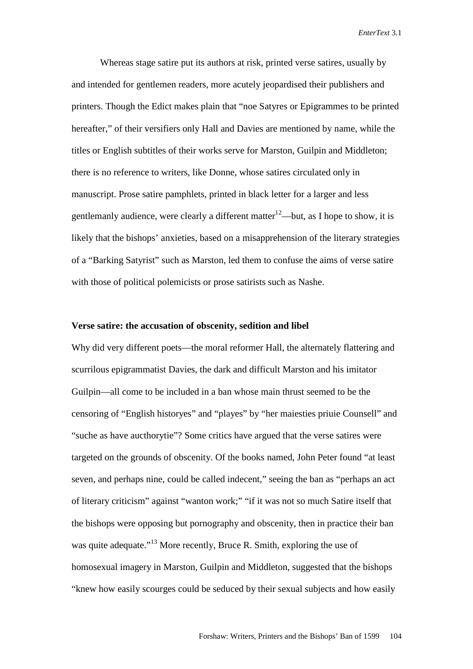Whereas stage satire put its authors at risk, printed verse satires, usually by and intended for gentlemen readers, more acutely jeopardised their publishers and printers. Though the Edict makes plain that "noe Satyres or Epigrammes to be printed hereafter," of their versifiers only Hall and Davies are mentioned by name, while the titles or English subtitles of their works serve for Marston, Guilpin and Middleton; there is no reference to writers, like Donne, whose satires circulated only in manuscript. Prose satire pamphlets, printed in black letter for a larger and less gentlemanly audience, were clearly a different matter<sup>12</sup>—but, as I hope to show, it is likely that the bishops' anxieties, based on a misapprehension of the literary strategies of a "Barking Satyrist" such as Marston, led them to confuse the aims of verse satire with those of political polemicists or prose satirists such as Nashe.

## **Verse satire: the accusation of obscenity, sedition and libel**

Why did very different poets—the moral reformer Hall, the alternately flattering and scurrilous epigrammatist Davies, the dark and difficult Marston and his imitator Guilpin—all come to be included in a ban whose main thrust seemed to be the censoring of "English historyes" and "playes" by "her maiesties priuie Counsell" and "suche as have aucthorytie"? Some critics have argued that the verse satires were targeted on the grounds of obscenity. Of the books named, John Peter found "at least seven, and perhaps nine, could be called indecent," seeing the ban as "perhaps an act of literary criticism" against "wanton work;" "if it was not so much Satire itself that the bishops were opposing but pornography and obscenity, then in practice their ban was quite adequate."<sup>13</sup> More recently, Bruce R. Smith, exploring the use of homosexual imagery in Marston, Guilpin and Middleton, suggested that the bishops "knew how easily scourges could be seduced by their sexual subjects and how easily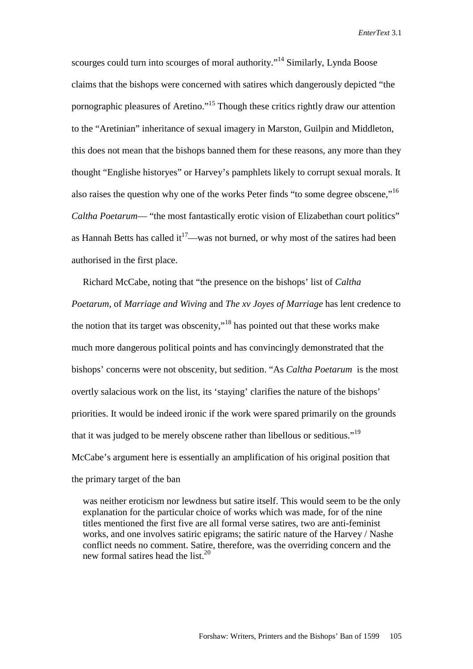scourges could turn into scourges of moral authority."<sup>14</sup> Similarly, Lynda Boose claims that the bishops were concerned with satires which dangerously depicted "the pornographic pleasures of Aretino."15 Though these critics rightly draw our attention to the "Aretinian" inheritance of sexual imagery in Marston, Guilpin and Middleton, this does not mean that the bishops banned them for these reasons, any more than they thought "Englishe historyes" or Harvey's pamphlets likely to corrupt sexual morals. It also raises the question why one of the works Peter finds "to some degree obscene,"<sup>16</sup> *Caltha Poetarum*— "the most fantastically erotic vision of Elizabethan court politics" as Hannah Betts has called  $it^{17}$ —was not burned, or why most of the satires had been authorised in the first place.

Richard McCabe, noting that "the presence on the bishops' list of *Caltha Poetarum*, of *Marriage and Wiving* and *The xv Joyes of Marriage* has lent credence to the notion that its target was obscenity,"18 has pointed out that these works make much more dangerous political points and has convincingly demonstrated that the bishops' concerns were not obscenity, but sedition. "As *Caltha Poetarum* is the most overtly salacious work on the list, its 'staying' clarifies the nature of the bishops' priorities. It would be indeed ironic if the work were spared primarily on the grounds that it was judged to be merely obscene rather than libellous or seditious."19 McCabe's argument here is essentially an amplification of his original position that the primary target of the ban

was neither eroticism nor lewdness but satire itself. This would seem to be the only explanation for the particular choice of works which was made, for of the nine titles mentioned the first five are all formal verse satires, two are anti-feminist works, and one involves satiric epigrams; the satiric nature of the Harvey / Nashe conflict needs no comment. Satire, therefore, was the overriding concern and the new formal satires head the list.<sup>20</sup>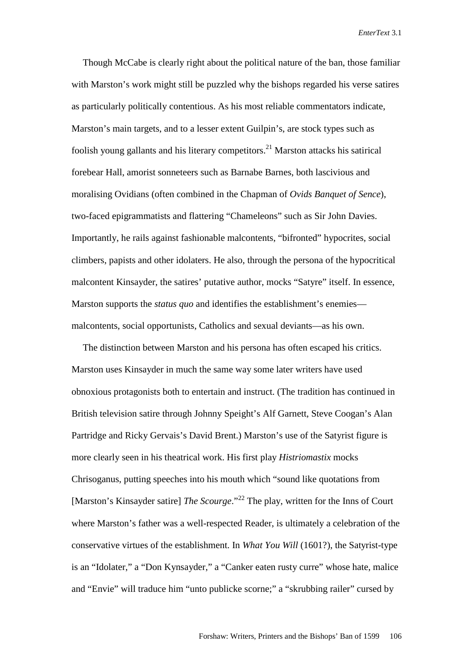Though McCabe is clearly right about the political nature of the ban, those familiar with Marston's work might still be puzzled why the bishops regarded his verse satires as particularly politically contentious. As his most reliable commentators indicate, Marston's main targets, and to a lesser extent Guilpin's, are stock types such as foolish young gallants and his literary competitors.<sup>21</sup> Marston attacks his satirical forebear Hall, amorist sonneteers such as Barnabe Barnes, both lascivious and moralising Ovidians (often combined in the Chapman of *Ovids Banquet of Sence*), two-faced epigrammatists and flattering "Chameleons" such as Sir John Davies. Importantly, he rails against fashionable malcontents, "bifronted" hypocrites, social climbers, papists and other idolaters. He also, through the persona of the hypocritical malcontent Kinsayder, the satires' putative author, mocks "Satyre" itself. In essence, Marston supports the *status quo* and identifies the establishment's enemies malcontents, social opportunists, Catholics and sexual deviants—as his own.

The distinction between Marston and his persona has often escaped his critics. Marston uses Kinsayder in much the same way some later writers have used obnoxious protagonists both to entertain and instruct. (The tradition has continued in British television satire through Johnny Speight's Alf Garnett, Steve Coogan's Alan Partridge and Ricky Gervais's David Brent.) Marston's use of the Satyrist figure is more clearly seen in his theatrical work. His first play *Histriomastix* mocks Chrisoganus, putting speeches into his mouth which "sound like quotations from [Marston's Kinsayder satire] *The Scourge*."<sup>22</sup> The play, written for the Inns of Court where Marston's father was a well-respected Reader, is ultimately a celebration of the conservative virtues of the establishment. In *What You Will* (1601?), the Satyrist-type is an "Idolater," a "Don Kynsayder," a "Canker eaten rusty curre" whose hate, malice and "Envie" will traduce him "unto publicke scorne;" a "skrubbing railer" cursed by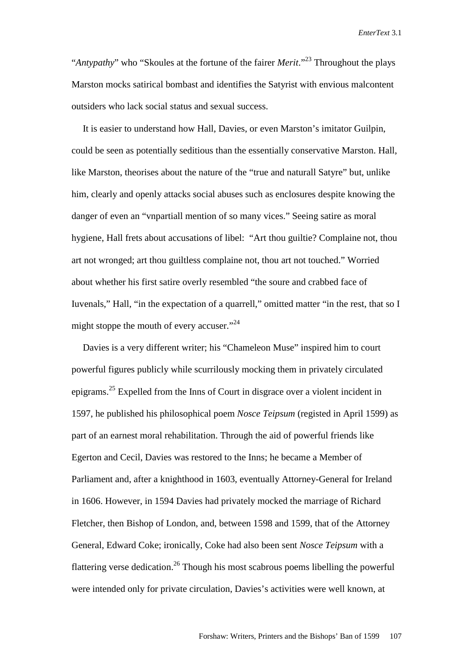"*Antypathy*" who "Skoules at the fortune of the fairer *Merit*."23 Throughout the plays Marston mocks satirical bombast and identifies the Satyrist with envious malcontent outsiders who lack social status and sexual success.

It is easier to understand how Hall, Davies, or even Marston's imitator Guilpin, could be seen as potentially seditious than the essentially conservative Marston. Hall, like Marston, theorises about the nature of the "true and naturall Satyre" but, unlike him, clearly and openly attacks social abuses such as enclosures despite knowing the danger of even an "vnpartiall mention of so many vices." Seeing satire as moral hygiene, Hall frets about accusations of libel: "Art thou guiltie? Complaine not, thou art not wronged; art thou guiltless complaine not, thou art not touched." Worried about whether his first satire overly resembled "the soure and crabbed face of Iuvenals," Hall, "in the expectation of a quarrell," omitted matter "in the rest, that so I might stoppe the mouth of every accuser."<sup>24</sup>

Davies is a very different writer; his "Chameleon Muse" inspired him to court powerful figures publicly while scurrilously mocking them in privately circulated epigrams.25 Expelled from the Inns of Court in disgrace over a violent incident in 1597, he published his philosophical poem *Nosce Teipsum* (registed in April 1599) as part of an earnest moral rehabilitation. Through the aid of powerful friends like Egerton and Cecil, Davies was restored to the Inns; he became a Member of Parliament and, after a knighthood in 1603, eventually Attorney-General for Ireland in 1606. However, in 1594 Davies had privately mocked the marriage of Richard Fletcher, then Bishop of London, and, between 1598 and 1599, that of the Attorney General, Edward Coke; ironically, Coke had also been sent *Nosce Teipsum* with a flattering verse dedication.<sup>26</sup> Though his most scabrous poems libelling the powerful were intended only for private circulation, Davies's activities were well known, at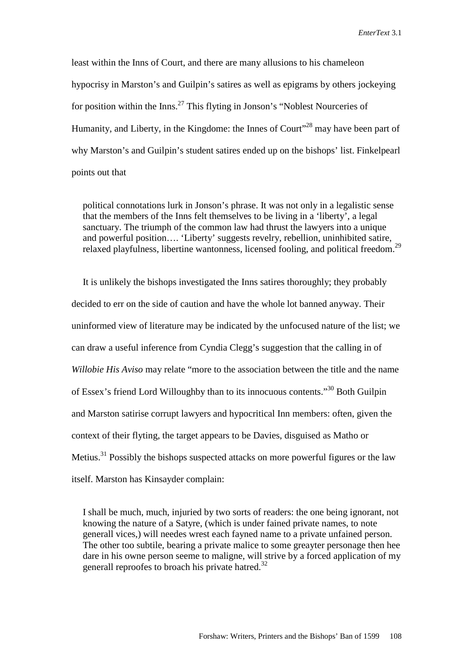least within the Inns of Court, and there are many allusions to his chameleon hypocrisy in Marston's and Guilpin's satires as well as epigrams by others jockeying for position within the Inns.<sup>27</sup> This flyting in Jonson's "Noblest Nourceries of Humanity, and Liberty, in the Kingdome: the Innes of Court<sup>128</sup> may have been part of why Marston's and Guilpin's student satires ended up on the bishops' list. Finkelpearl points out that

political connotations lurk in Jonson's phrase. It was not only in a legalistic sense that the members of the Inns felt themselves to be living in a 'liberty', a legal sanctuary. The triumph of the common law had thrust the lawyers into a unique and powerful position…. 'Liberty' suggests revelry, rebellion, uninhibited satire, relaxed playfulness, libertine wantonness, licensed fooling, and political freedom.<sup>29</sup>

It is unlikely the bishops investigated the Inns satires thoroughly; they probably decided to err on the side of caution and have the whole lot banned anyway. Their uninformed view of literature may be indicated by the unfocused nature of the list; we can draw a useful inference from Cyndia Clegg's suggestion that the calling in of *Willobie His Aviso* may relate "more to the association between the title and the name of Essex's friend Lord Willoughby than to its innocuous contents."30 Both Guilpin and Marston satirise corrupt lawyers and hypocritical Inn members: often, given the context of their flyting, the target appears to be Davies, disguised as Matho or Metius.31 Possibly the bishops suspected attacks on more powerful figures or the law itself. Marston has Kinsayder complain:

I shall be much, much, injuried by two sorts of readers: the one being ignorant, not knowing the nature of a Satyre, (which is under fained private names, to note generall vices,) will needes wrest each fayned name to a private unfained person. The other too subtile, bearing a private malice to some greayter personage then hee dare in his owne person seeme to maligne, will strive by a forced application of my generall reproofes to broach his private hatred.<sup>32</sup>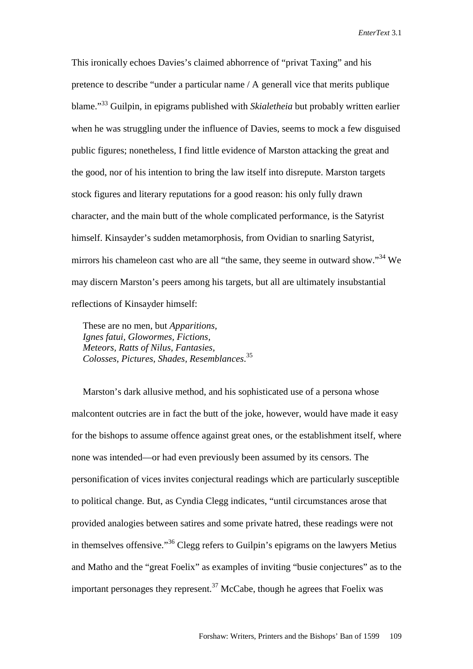This ironically echoes Davies's claimed abhorrence of "privat Taxing" and his pretence to describe "under a particular name / A generall vice that merits publique blame."33 Guilpin, in epigrams published with *Skialetheia* but probably written earlier when he was struggling under the influence of Davies, seems to mock a few disguised public figures; nonetheless, I find little evidence of Marston attacking the great and the good, nor of his intention to bring the law itself into disrepute. Marston targets stock figures and literary reputations for a good reason: his only fully drawn character, and the main butt of the whole complicated performance, is the Satyrist himself. Kinsayder's sudden metamorphosis, from Ovidian to snarling Satyrist, mirrors his chameleon cast who are all "the same, they seeme in outward show."<sup>34</sup> We may discern Marston's peers among his targets, but all are ultimately insubstantial reflections of Kinsayder himself:

These are no men, but *Apparitions, Ignes fatui, Glowormes, Fictions, Meteors, Ratts of Nilus, Fantasies, Colosses, Pictures, Shades, Resemblances*. 35

Marston's dark allusive method, and his sophisticated use of a persona whose malcontent outcries are in fact the butt of the joke, however, would have made it easy for the bishops to assume offence against great ones, or the establishment itself, where none was intended—or had even previously been assumed by its censors. The personification of vices invites conjectural readings which are particularly susceptible to political change. But, as Cyndia Clegg indicates, "until circumstances arose that provided analogies between satires and some private hatred, these readings were not in themselves offensive."36 Clegg refers to Guilpin's epigrams on the lawyers Metius and Matho and the "great Foelix" as examples of inviting "busie conjectures" as to the important personages they represent.<sup>37</sup> McCabe, though he agrees that Foelix was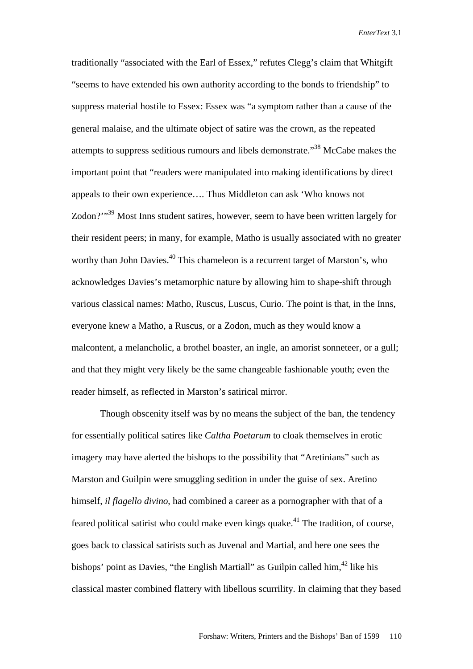traditionally "associated with the Earl of Essex," refutes Clegg's claim that Whitgift "seems to have extended his own authority according to the bonds to friendship" to suppress material hostile to Essex: Essex was "a symptom rather than a cause of the general malaise, and the ultimate object of satire was the crown, as the repeated attempts to suppress seditious rumours and libels demonstrate."38 McCabe makes the important point that "readers were manipulated into making identifications by direct appeals to their own experience…. Thus Middleton can ask 'Who knows not Zodon?"<sup>39</sup> Most Inns student satires, however, seem to have been written largely for their resident peers; in many, for example, Matho is usually associated with no greater worthy than John Davies.<sup>40</sup> This chameleon is a recurrent target of Marston's, who acknowledges Davies's metamorphic nature by allowing him to shape-shift through various classical names: Matho, Ruscus, Luscus, Curio. The point is that, in the Inns, everyone knew a Matho, a Ruscus, or a Zodon, much as they would know a malcontent, a melancholic, a brothel boaster, an ingle, an amorist sonneteer, or a gull; and that they might very likely be the same changeable fashionable youth; even the reader himself, as reflected in Marston's satirical mirror.

Though obscenity itself was by no means the subject of the ban, the tendency for essentially political satires like *Caltha Poetarum* to cloak themselves in erotic imagery may have alerted the bishops to the possibility that "Aretinians" such as Marston and Guilpin were smuggling sedition in under the guise of sex. Aretino himself, *il flagello divino*, had combined a career as a pornographer with that of a feared political satirist who could make even kings quake.<sup>41</sup> The tradition, of course, goes back to classical satirists such as Juvenal and Martial, and here one sees the bishops' point as Davies, "the English Martiall" as Guilpin called him,  $42$  like his classical master combined flattery with libellous scurrility. In claiming that they based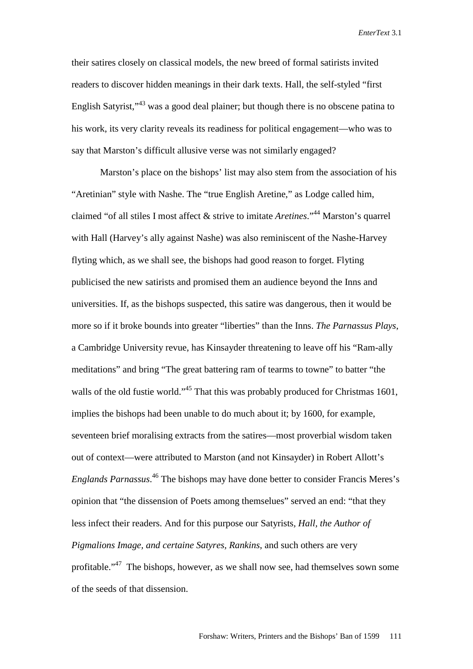their satires closely on classical models, the new breed of formal satirists invited readers to discover hidden meanings in their dark texts. Hall, the self-styled "first English Satyrist,"43 was a good deal plainer; but though there is no obscene patina to his work, its very clarity reveals its readiness for political engagement—who was to say that Marston's difficult allusive verse was not similarly engaged?

 Marston's place on the bishops' list may also stem from the association of his "Aretinian" style with Nashe. The "true English Aretine," as Lodge called him, claimed "of all stiles I most affect & strive to imitate *Aretines*."44 Marston's quarrel with Hall (Harvey's ally against Nashe) was also reminiscent of the Nashe-Harvey flyting which, as we shall see, the bishops had good reason to forget. Flyting publicised the new satirists and promised them an audience beyond the Inns and universities. If, as the bishops suspected, this satire was dangerous, then it would be more so if it broke bounds into greater "liberties" than the Inns. *The Parnassus Plays*, a Cambridge University revue, has Kinsayder threatening to leave off his "Ram-ally meditations" and bring "The great battering ram of tearms to towne" to batter "the walls of the old fustie world."<sup>45</sup> That this was probably produced for Christmas 1601, implies the bishops had been unable to do much about it; by 1600, for example, seventeen brief moralising extracts from the satires—most proverbial wisdom taken out of context—were attributed to Marston (and not Kinsayder) in Robert Allott's *Englands Parnassus*. 46 The bishops may have done better to consider Francis Meres's opinion that "the dissension of Poets among themselues" served an end: "that they less infect their readers. And for this purpose our Satyrists*, Hall, the Author of Pigmalions Image, and certaine Satyres, Rankins*, and such others are very profitable."47 The bishops, however, as we shall now see, had themselves sown some of the seeds of that dissension.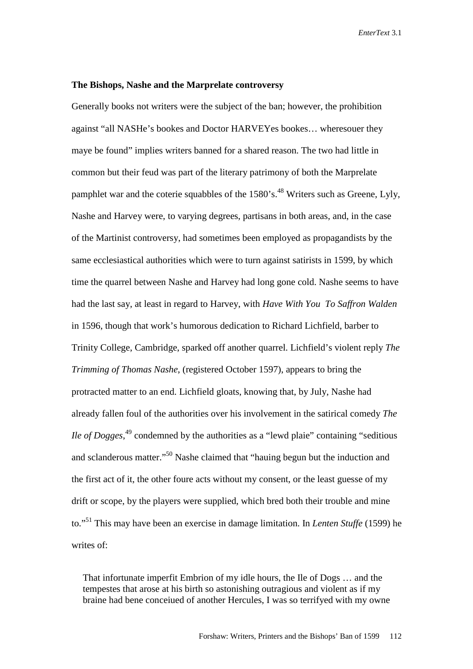#### **The Bishops, Nashe and the Marprelate controversy**

Generally books not writers were the subject of the ban; however, the prohibition against "all NASHe's bookes and Doctor HARVEYes bookes… wheresouer they maye be found" implies writers banned for a shared reason. The two had little in common but their feud was part of the literary patrimony of both the Marprelate pamphlet war and the coterie squabbles of the  $1580$ 's.<sup>48</sup> Writers such as Greene, Lyly, Nashe and Harvey were, to varying degrees, partisans in both areas, and, in the case of the Martinist controversy, had sometimes been employed as propagandists by the same ecclesiastical authorities which were to turn against satirists in 1599, by which time the quarrel between Nashe and Harvey had long gone cold. Nashe seems to have had the last say, at least in regard to Harvey, with *Have With You To Saffron Walden* in 1596, though that work's humorous dedication to Richard Lichfield, barber to Trinity College, Cambridge, sparked off another quarrel. Lichfield's violent reply *The Trimming of Thomas Nashe*, (registered October 1597), appears to bring the protracted matter to an end. Lichfield gloats, knowing that, by July, Nashe had already fallen foul of the authorities over his involvement in the satirical comedy *The Ile of Dogges*<sup>49</sup> condemned by the authorities as a "lewd plaie" containing "seditious and sclanderous matter."<sup>50</sup> Nashe claimed that "hauing begun but the induction and the first act of it, the other foure acts without my consent, or the least guesse of my drift or scope, by the players were supplied, which bred both their trouble and mine to."51 This may have been an exercise in damage limitation. In *Lenten Stuffe* (1599) he writes of:

That infortunate imperfit Embrion of my idle hours, the Ile of Dogs … and the tempestes that arose at his birth so astonishing outragious and violent as if my braine had bene conceiued of another Hercules, I was so terrifyed with my owne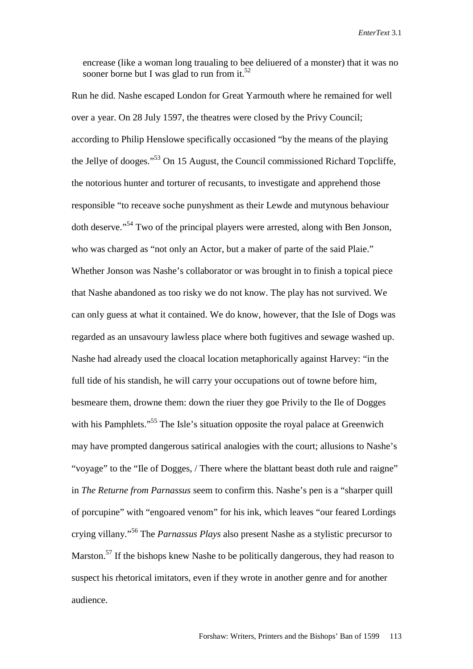encrease (like a woman long traualing to bee deliuered of a monster) that it was no sooner borne but I was glad to run from it.<sup>52</sup>

Run he did. Nashe escaped London for Great Yarmouth where he remained for well over a year. On 28 July 1597, the theatres were closed by the Privy Council; according to Philip Henslowe specifically occasioned "by the means of the playing the Jellye of dooges."53 On 15 August, the Council commissioned Richard Topcliffe, the notorious hunter and torturer of recusants, to investigate and apprehend those responsible "to receave soche punyshment as their Lewde and mutynous behaviour doth deserve."54 Two of the principal players were arrested, along with Ben Jonson, who was charged as "not only an Actor, but a maker of parte of the said Plaie." Whether Jonson was Nashe's collaborator or was brought in to finish a topical piece that Nashe abandoned as too risky we do not know. The play has not survived. We can only guess at what it contained. We do know, however, that the Isle of Dogs was regarded as an unsavoury lawless place where both fugitives and sewage washed up. Nashe had already used the cloacal location metaphorically against Harvey: "in the full tide of his standish, he will carry your occupations out of towne before him, besmeare them, drowne them: down the riuer they goe Privily to the Ile of Dogges with his Pamphlets."<sup>55</sup> The Isle's situation opposite the royal palace at Greenwich may have prompted dangerous satirical analogies with the court; allusions to Nashe's "voyage" to the "Ile of Dogges, / There where the blattant beast doth rule and raigne" in *The Returne from Parnassus* seem to confirm this. Nashe's pen is a "sharper quill of porcupine" with "engoared venom" for his ink, which leaves "our feared Lordings crying villany."56 The *Parnassus Plays* also present Nashe as a stylistic precursor to Marston.<sup>57</sup> If the bishops knew Nashe to be politically dangerous, they had reason to suspect his rhetorical imitators, even if they wrote in another genre and for another audience.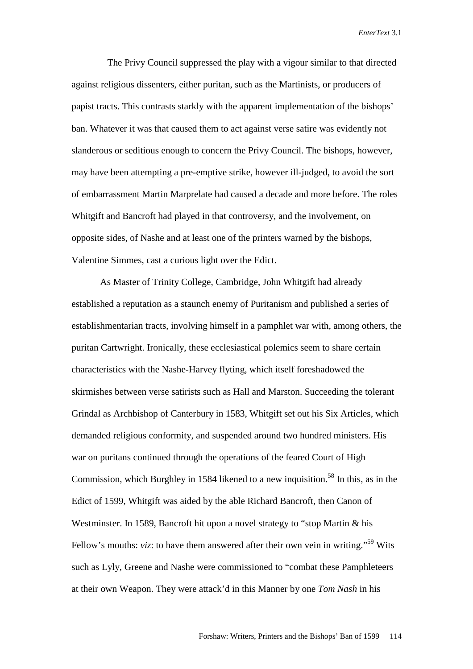The Privy Council suppressed the play with a vigour similar to that directed against religious dissenters, either puritan, such as the Martinists, or producers of papist tracts. This contrasts starkly with the apparent implementation of the bishops' ban. Whatever it was that caused them to act against verse satire was evidently not slanderous or seditious enough to concern the Privy Council. The bishops, however, may have been attempting a pre-emptive strike, however ill-judged, to avoid the sort of embarrassment Martin Marprelate had caused a decade and more before. The roles Whitgift and Bancroft had played in that controversy, and the involvement, on opposite sides, of Nashe and at least one of the printers warned by the bishops, Valentine Simmes, cast a curious light over the Edict.

As Master of Trinity College, Cambridge, John Whitgift had already established a reputation as a staunch enemy of Puritanism and published a series of establishmentarian tracts, involving himself in a pamphlet war with, among others, the puritan Cartwright. Ironically, these ecclesiastical polemics seem to share certain characteristics with the Nashe-Harvey flyting, which itself foreshadowed the skirmishes between verse satirists such as Hall and Marston. Succeeding the tolerant Grindal as Archbishop of Canterbury in 1583, Whitgift set out his Six Articles, which demanded religious conformity, and suspended around two hundred ministers. His war on puritans continued through the operations of the feared Court of High Commission, which Burghley in 1584 likened to a new inquisition.<sup>58</sup> In this, as in the Edict of 1599, Whitgift was aided by the able Richard Bancroft, then Canon of Westminster. In 1589, Bancroft hit upon a novel strategy to "stop Martin & his Fellow's mouths: *viz*: to have them answered after their own vein in writing."<sup>59</sup> Wits such as Lyly, Greene and Nashe were commissioned to "combat these Pamphleteers at their own Weapon. They were attack'd in this Manner by one *Tom Nash* in his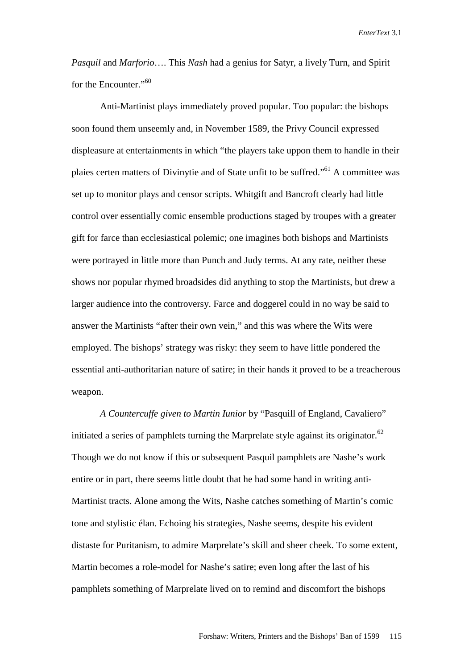*Pasquil* and *Marforio*…. This *Nash* had a genius for Satyr, a lively Turn, and Spirit for the Encounter."<sup>60</sup>

Anti-Martinist plays immediately proved popular. Too popular: the bishops soon found them unseemly and, in November 1589, the Privy Council expressed displeasure at entertainments in which "the players take uppon them to handle in their plaies certen matters of Divinytie and of State unfit to be suffred."61 A committee was set up to monitor plays and censor scripts. Whitgift and Bancroft clearly had little control over essentially comic ensemble productions staged by troupes with a greater gift for farce than ecclesiastical polemic; one imagines both bishops and Martinists were portrayed in little more than Punch and Judy terms. At any rate, neither these shows nor popular rhymed broadsides did anything to stop the Martinists, but drew a larger audience into the controversy. Farce and doggerel could in no way be said to answer the Martinists "after their own vein," and this was where the Wits were employed. The bishops' strategy was risky: they seem to have little pondered the essential anti-authoritarian nature of satire; in their hands it proved to be a treacherous weapon.

*A Countercuffe given to Martin Iunior* by "Pasquill of England, Cavaliero" initiated a series of pamphlets turning the Marprelate style against its originator. $62$ Though we do not know if this or subsequent Pasquil pamphlets are Nashe's work entire or in part, there seems little doubt that he had some hand in writing anti-Martinist tracts. Alone among the Wits, Nashe catches something of Martin's comic tone and stylistic élan. Echoing his strategies, Nashe seems, despite his evident distaste for Puritanism, to admire Marprelate's skill and sheer cheek. To some extent, Martin becomes a role-model for Nashe's satire; even long after the last of his pamphlets something of Marprelate lived on to remind and discomfort the bishops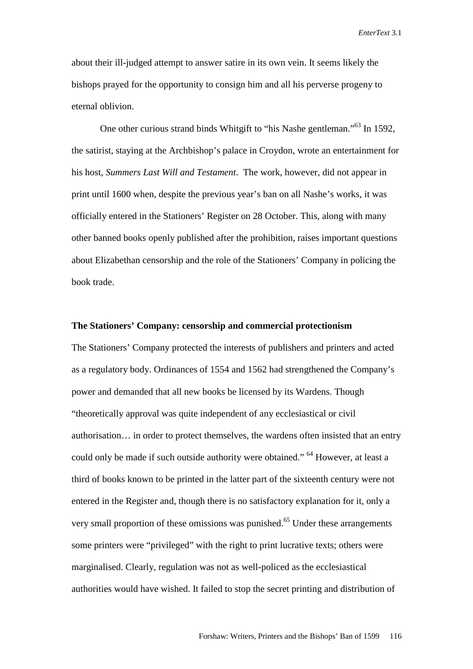about their ill-judged attempt to answer satire in its own vein. It seems likely the bishops prayed for the opportunity to consign him and all his perverse progeny to eternal oblivion.

One other curious strand binds Whitgift to "his Nashe gentleman."<sup>63</sup> In 1592, the satirist, staying at the Archbishop's palace in Croydon, wrote an entertainment for his host, *Summers Last Will and Testament*. The work, however, did not appear in print until 1600 when, despite the previous year's ban on all Nashe's works, it was officially entered in the Stationers' Register on 28 October. This, along with many other banned books openly published after the prohibition, raises important questions about Elizabethan censorship and the role of the Stationers' Company in policing the book trade.

## **The Stationers' Company: censorship and commercial protectionism**

The Stationers' Company protected the interests of publishers and printers and acted as a regulatory body. Ordinances of 1554 and 1562 had strengthened the Company's power and demanded that all new books be licensed by its Wardens. Though "theoretically approval was quite independent of any ecclesiastical or civil authorisation… in order to protect themselves, the wardens often insisted that an entry could only be made if such outside authority were obtained." 64 However, at least a third of books known to be printed in the latter part of the sixteenth century were not entered in the Register and, though there is no satisfactory explanation for it, only a very small proportion of these omissions was punished.<sup>65</sup> Under these arrangements some printers were "privileged" with the right to print lucrative texts; others were marginalised. Clearly, regulation was not as well-policed as the ecclesiastical authorities would have wished. It failed to stop the secret printing and distribution of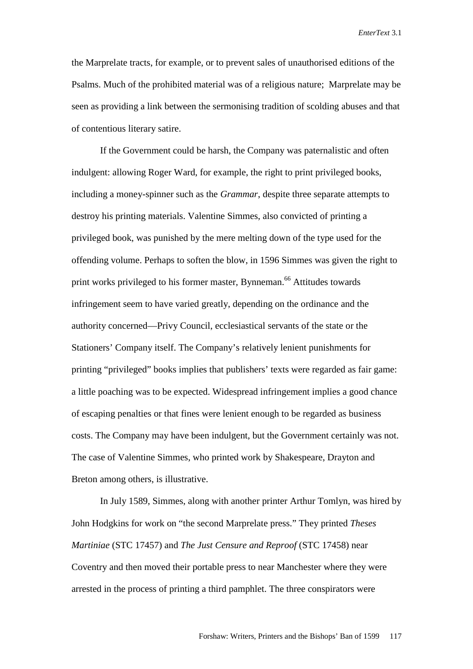the Marprelate tracts, for example, or to prevent sales of unauthorised editions of the Psalms. Much of the prohibited material was of a religious nature; Marprelate may be seen as providing a link between the sermonising tradition of scolding abuses and that of contentious literary satire.

If the Government could be harsh, the Company was paternalistic and often indulgent: allowing Roger Ward, for example, the right to print privileged books, including a money-spinner such as the *Grammar*, despite three separate attempts to destroy his printing materials. Valentine Simmes, also convicted of printing a privileged book, was punished by the mere melting down of the type used for the offending volume. Perhaps to soften the blow, in 1596 Simmes was given the right to print works privileged to his former master, Bynneman.<sup>66</sup> Attitudes towards infringement seem to have varied greatly, depending on the ordinance and the authority concerned—Privy Council, ecclesiastical servants of the state or the Stationers' Company itself. The Company's relatively lenient punishments for printing "privileged" books implies that publishers' texts were regarded as fair game: a little poaching was to be expected. Widespread infringement implies a good chance of escaping penalties or that fines were lenient enough to be regarded as business costs. The Company may have been indulgent, but the Government certainly was not. The case of Valentine Simmes, who printed work by Shakespeare, Drayton and Breton among others, is illustrative.

 In July 1589, Simmes, along with another printer Arthur Tomlyn, was hired by John Hodgkins for work on "the second Marprelate press." They printed *Theses Martiniae* (STC 17457) and *The Just Censure and Reproof* (STC 17458) near Coventry and then moved their portable press to near Manchester where they were arrested in the process of printing a third pamphlet. The three conspirators were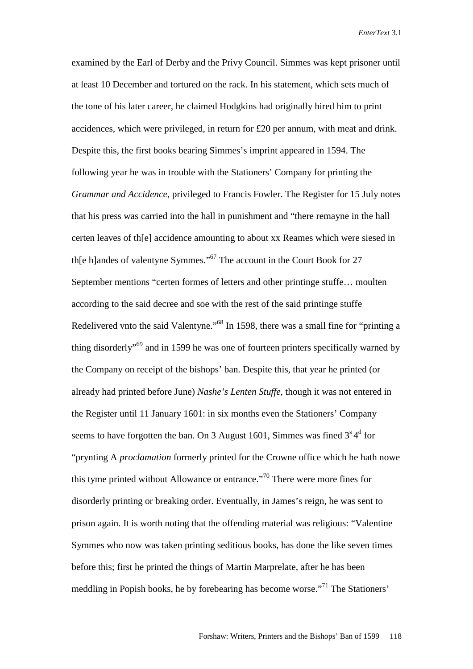examined by the Earl of Derby and the Privy Council. Simmes was kept prisoner until at least 10 December and tortured on the rack. In his statement, which sets much of the tone of his later career, he claimed Hodgkins had originally hired him to print accidences, which were privileged, in return for £20 per annum, with meat and drink. Despite this, the first books bearing Simmes's imprint appeared in 1594. The following year he was in trouble with the Stationers' Company for printing the *Grammar and Accidence*, privileged to Francis Fowler. The Register for 15 July notes that his press was carried into the hall in punishment and "there remayne in the hall certen leaves of th[e] accidence amounting to about xx Reames which were siesed in th[e h]andes of valentyne Symmes."67 The account in the Court Book for 27 September mentions "certen formes of letters and other printinge stuffe… moulten according to the said decree and soe with the rest of the said printinge stuffe Redelivered vnto the said Valentyne."<sup>68</sup> In 1598, there was a small fine for "printing a thing disorderly<sup>"69</sup> and in 1599 he was one of fourteen printers specifically warned by the Company on receipt of the bishops' ban. Despite this, that year he printed (or already had printed before June) *Nashe's Lenten Stuffe*, though it was not entered in the Register until 11 January 1601: in six months even the Stationers' Company seems to have forgotten the ban. On 3 August 1601, Simmes was fined  $3<sup>s</sup>4<sup>d</sup>$  for "prynting A *proclamation* formerly printed for the Crowne office which he hath nowe this tyme printed without Allowance or entrance."70 There were more fines for disorderly printing or breaking order. Eventually, in James's reign, he was sent to prison again. It is worth noting that the offending material was religious: "Valentine Symmes who now was taken printing seditious books, has done the like seven times before this; first he printed the things of Martin Marprelate, after he has been meddling in Popish books, he by forebearing has become worse."71 The Stationers'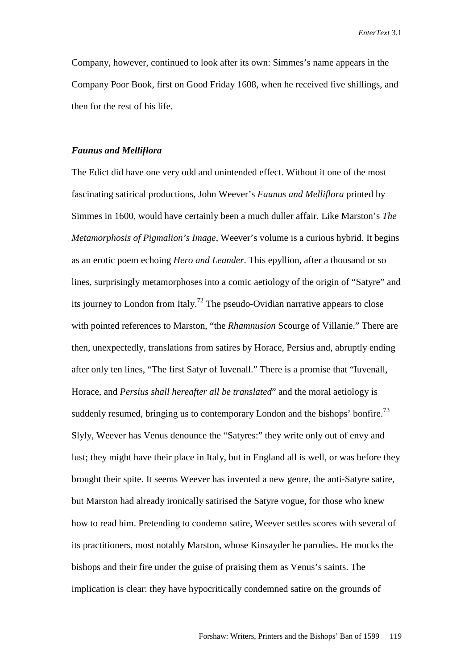Company, however, continued to look after its own: Simmes's name appears in the Company Poor Book, first on Good Friday 1608, when he received five shillings, and then for the rest of his life.

### *Faunus and Melliflora*

The Edict did have one very odd and unintended effect. Without it one of the most fascinating satirical productions, John Weever's *Faunus and Melliflora* printed by Simmes in 1600, would have certainly been a much duller affair. Like Marston's *The Metamorphosis of Pigmalion's Image*, Weever's volume is a curious hybrid. It begins as an erotic poem echoing *Hero and Leander*. This epyllion, after a thousand or so lines, surprisingly metamorphoses into a comic aetiology of the origin of "Satyre" and its journey to London from Italy.<sup>72</sup> The pseudo-Ovidian narrative appears to close with pointed references to Marston, "the *Rhamnusion* Scourge of Villanie." There are then, unexpectedly, translations from satires by Horace, Persius and, abruptly ending after only ten lines, "The first Satyr of Iuvenall." There is a promise that "Iuvenall, Horace, and *Persius shall hereafter all be translated*" and the moral aetiology is suddenly resumed, bringing us to contemporary London and the bishops' bonfire.<sup>73</sup> Slyly, Weever has Venus denounce the "Satyres:" they write only out of envy and lust; they might have their place in Italy, but in England all is well, or was before they brought their spite. It seems Weever has invented a new genre, the anti-Satyre satire, but Marston had already ironically satirised the Satyre vogue, for those who knew how to read him. Pretending to condemn satire, Weever settles scores with several of its practitioners, most notably Marston, whose Kinsayder he parodies. He mocks the bishops and their fire under the guise of praising them as Venus's saints. The implication is clear: they have hypocritically condemned satire on the grounds of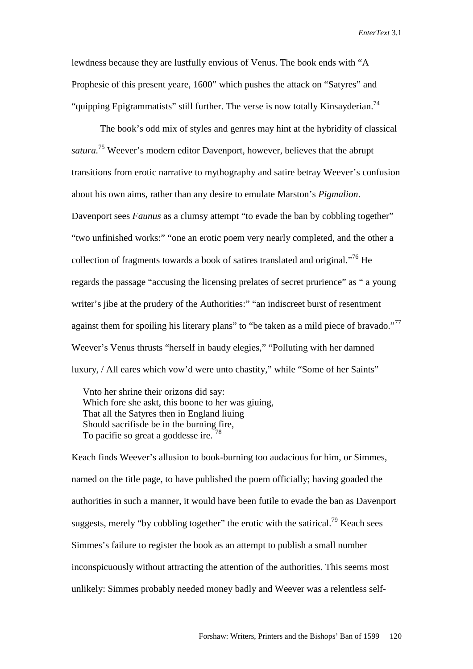lewdness because they are lustfully envious of Venus. The book ends with "A Prophesie of this present yeare, 1600" which pushes the attack on "Satyres" and "quipping Epigrammatists" still further. The verse is now totally Kinsayderian.<sup>74</sup>

 The book's odd mix of styles and genres may hint at the hybridity of classical *satura.*75 Weever's modern editor Davenport, however, believes that the abrupt transitions from erotic narrative to mythography and satire betray Weever's confusion about his own aims, rather than any desire to emulate Marston's *Pigmalion*. Davenport sees *Faunus* as a clumsy attempt "to evade the ban by cobbling together" "two unfinished works:" "one an erotic poem very nearly completed, and the other a collection of fragments towards a book of satires translated and original."76 He regards the passage "accusing the licensing prelates of secret prurience" as " a young writer's jibe at the prudery of the Authorities:" "an indiscreet burst of resentment against them for spoiling his literary plans" to "be taken as a mild piece of bravado."<sup>77</sup> Weever's Venus thrusts "herself in baudy elegies," "Polluting with her damned luxury, / All eares which vow'd were unto chastity," while "Some of her Saints"

Vnto her shrine their orizons did say: Which fore she askt, this boone to her was giuing, That all the Satyres then in England liuing Should sacrifisde be in the burning fire, To pacifie so great a goddesse ire.<sup>78</sup>

Keach finds Weever's allusion to book-burning too audacious for him, or Simmes, named on the title page, to have published the poem officially; having goaded the authorities in such a manner, it would have been futile to evade the ban as Davenport suggests, merely "by cobbling together" the erotic with the satirical.<sup>79</sup> Keach sees Simmes's failure to register the book as an attempt to publish a small number inconspicuously without attracting the attention of the authorities. This seems most unlikely: Simmes probably needed money badly and Weever was a relentless self-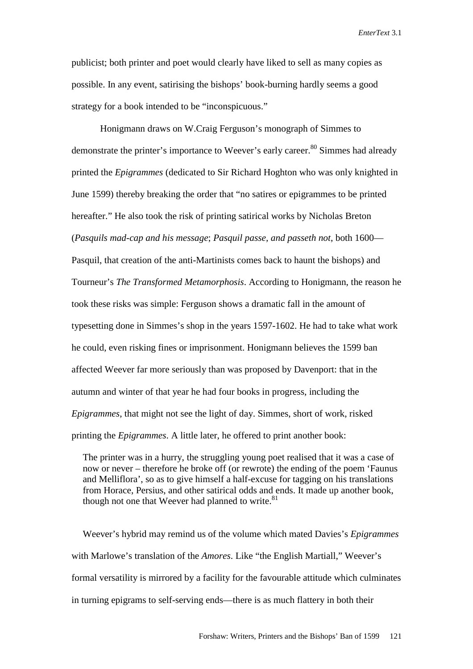publicist; both printer and poet would clearly have liked to sell as many copies as possible. In any event, satirising the bishops' book-burning hardly seems a good strategy for a book intended to be "inconspicuous."

 Honigmann draws on W.Craig Ferguson's monograph of Simmes to demonstrate the printer's importance to Weever's early career.<sup>80</sup> Simmes had already printed the *Epigrammes* (dedicated to Sir Richard Hoghton who was only knighted in June 1599) thereby breaking the order that "no satires or epigrammes to be printed hereafter." He also took the risk of printing satirical works by Nicholas Breton (*Pasquils mad-cap and his message*; *Pasquil passe, and passeth not*, both 1600— Pasquil, that creation of the anti-Martinists comes back to haunt the bishops) and Tourneur's *The Transformed Metamorphosis*. According to Honigmann, the reason he took these risks was simple: Ferguson shows a dramatic fall in the amount of typesetting done in Simmes's shop in the years 1597-1602. He had to take what work he could, even risking fines or imprisonment. Honigmann believes the 1599 ban affected Weever far more seriously than was proposed by Davenport: that in the autumn and winter of that year he had four books in progress, including the *Epigrammes*, that might not see the light of day. Simmes, short of work, risked printing the *Epigrammes*. A little later, he offered to print another book:

The printer was in a hurry, the struggling young poet realised that it was a case of now or never – therefore he broke off (or rewrote) the ending of the poem 'Faunus and Melliflora', so as to give himself a half-excuse for tagging on his translations from Horace, Persius, and other satirical odds and ends. It made up another book, though not one that Weever had planned to write. $81$ 

Weever's hybrid may remind us of the volume which mated Davies's *Epigrammes*  with Marlowe's translation of the *Amores*. Like "the English Martiall," Weever's formal versatility is mirrored by a facility for the favourable attitude which culminates in turning epigrams to self-serving ends—there is as much flattery in both their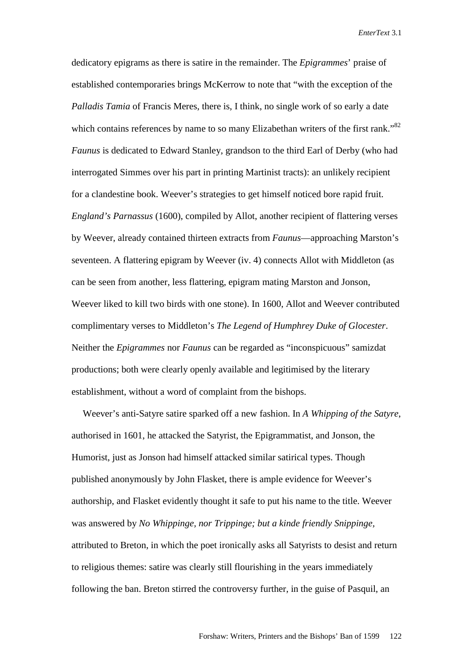dedicatory epigrams as there is satire in the remainder. The *Epigrammes*' praise of established contemporaries brings McKerrow to note that "with the exception of the *Palladis Tamia* of Francis Meres, there is, I think, no single work of so early a date which contains references by name to so many Elizabethan writers of the first rank."<sup>82</sup> *Faunus* is dedicated to Edward Stanley, grandson to the third Earl of Derby (who had interrogated Simmes over his part in printing Martinist tracts): an unlikely recipient for a clandestine book. Weever's strategies to get himself noticed bore rapid fruit. *England's Parnassus* (1600), compiled by Allot, another recipient of flattering verses by Weever, already contained thirteen extracts from *Faunus*—approaching Marston's seventeen. A flattering epigram by Weever (iv. 4) connects Allot with Middleton (as can be seen from another, less flattering, epigram mating Marston and Jonson, Weever liked to kill two birds with one stone). In 1600, Allot and Weever contributed complimentary verses to Middleton's *The Legend of Humphrey Duke of Glocester*. Neither the *Epigrammes* nor *Faunus* can be regarded as "inconspicuous" samizdat productions; both were clearly openly available and legitimised by the literary establishment, without a word of complaint from the bishops.

Weever's anti-Satyre satire sparked off a new fashion. In *A Whipping of the Satyre*, authorised in 1601, he attacked the Satyrist, the Epigrammatist, and Jonson, the Humorist, just as Jonson had himself attacked similar satirical types. Though published anonymously by John Flasket, there is ample evidence for Weever's authorship, and Flasket evidently thought it safe to put his name to the title. Weever was answered by *No Whippinge, nor Trippinge; but a kinde friendly Snippinge,* attributed to Breton, in which the poet ironically asks all Satyrists to desist and return to religious themes: satire was clearly still flourishing in the years immediately following the ban. Breton stirred the controversy further, in the guise of Pasquil, an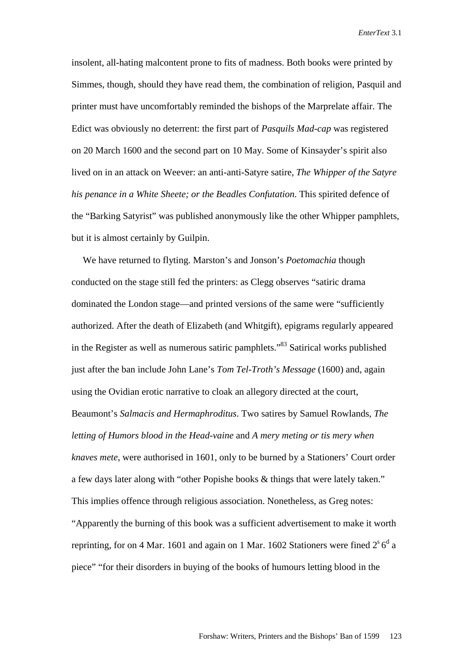insolent, all-hating malcontent prone to fits of madness. Both books were printed by Simmes, though, should they have read them, the combination of religion, Pasquil and printer must have uncomfortably reminded the bishops of the Marprelate affair. The Edict was obviously no deterrent: the first part of *Pasquils Mad-cap* was registered on 20 March 1600 and the second part on 10 May. Some of Kinsayder's spirit also lived on in an attack on Weever: an anti-anti-Satyre satire, *The Whipper of the Satyre his penance in a White Sheete; or the Beadles Confutation*. This spirited defence of the "Barking Satyrist" was published anonymously like the other Whipper pamphlets, but it is almost certainly by Guilpin.

We have returned to flyting. Marston's and Jonson's *Poetomachia* though conducted on the stage still fed the printers: as Clegg observes "satiric drama dominated the London stage—and printed versions of the same were "sufficiently authorized. After the death of Elizabeth (and Whitgift), epigrams regularly appeared in the Register as well as numerous satiric pamphlets."83 Satirical works published just after the ban include John Lane's *Tom Tel-Troth's Message* (1600) and, again using the Ovidian erotic narrative to cloak an allegory directed at the court, Beaumont's *Salmacis and Hermaphroditus*. Two satires by Samuel Rowlands, *The letting of Humors blood in the Head-vaine* and *A mery meting or tis mery when knaves mete*, were authorised in 1601, only to be burned by a Stationers' Court order a few days later along with "other Popishe books & things that were lately taken." This implies offence through religious association. Nonetheless, as Greg notes: "Apparently the burning of this book was a sufficient advertisement to make it worth reprinting, for on 4 Mar. 1601 and again on 1 Mar. 1602 Stationers were fined  $2^s 6^d$  a piece" "for their disorders in buying of the books of humours letting blood in the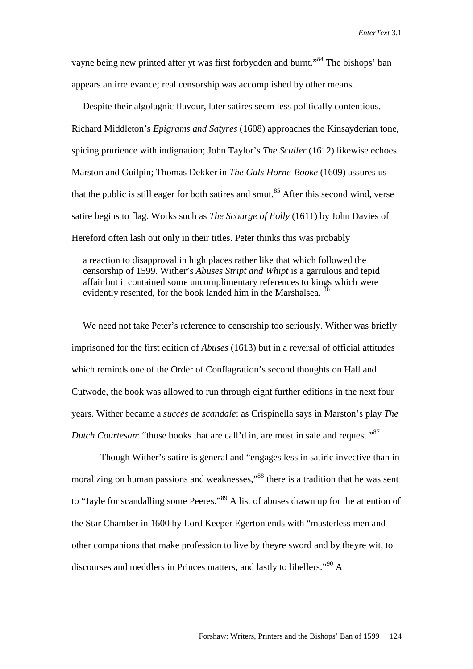vayne being new printed after yt was first forbydden and burnt."<sup>84</sup> The bishops' ban appears an irrelevance; real censorship was accomplished by other means.

Despite their algolagnic flavour, later satires seem less politically contentious. Richard Middleton's *Epigrams and Satyres* (1608) approaches the Kinsayderian tone, spicing prurience with indignation; John Taylor's *The Sculler* (1612) likewise echoes Marston and Guilpin; Thomas Dekker in *The Guls Horne-Booke* (1609) assures us that the public is still eager for both satires and smut.<sup>85</sup> After this second wind, verse satire begins to flag. Works such as *The Scourge of Folly* (1611) by John Davies of Hereford often lash out only in their titles. Peter thinks this was probably

a reaction to disapproval in high places rather like that which followed the censorship of 1599. Wither's *Abuses Stript and Whipt* is a garrulous and tepid affair but it contained some uncomplimentary references to kings which were evidently resented, for the book landed him in the Marshalsea. <sup>86</sup>

We need not take Peter's reference to censorship too seriously. Wither was briefly imprisoned for the first edition of *Abuses* (1613) but in a reversal of official attitudes which reminds one of the Order of Conflagration's second thoughts on Hall and Cutwode, the book was allowed to run through eight further editions in the next four years. Wither became a *succès de scandale*: as Crispinella says in Marston's play *The Dutch Courtesan*: "those books that are call'd in, are most in sale and request."<sup>87</sup>

Though Wither's satire is general and "engages less in satiric invective than in moralizing on human passions and weaknesses,"<sup>88</sup> there is a tradition that he was sent to "Jayle for scandalling some Peeres."<sup>89</sup> A list of abuses drawn up for the attention of the Star Chamber in 1600 by Lord Keeper Egerton ends with "masterless men and other companions that make profession to live by theyre sword and by theyre wit, to discourses and meddlers in Princes matters, and lastly to libellers."90 A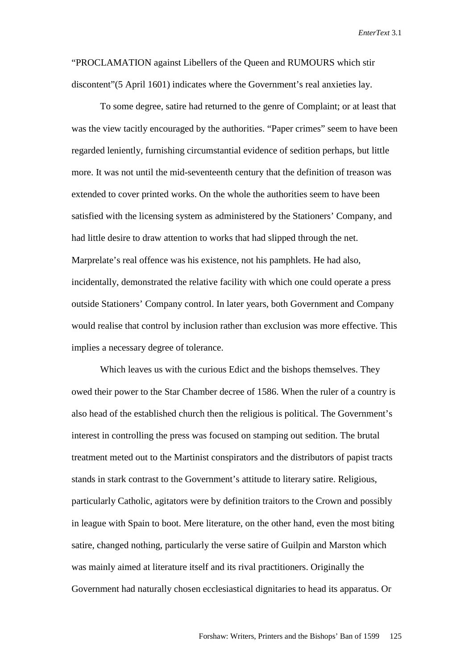"PROCLAMATION against Libellers of the Queen and RUMOURS which stir discontent"(5 April 1601) indicates where the Government's real anxieties lay.

To some degree, satire had returned to the genre of Complaint; or at least that was the view tacitly encouraged by the authorities. "Paper crimes" seem to have been regarded leniently, furnishing circumstantial evidence of sedition perhaps, but little more. It was not until the mid-seventeenth century that the definition of treason was extended to cover printed works. On the whole the authorities seem to have been satisfied with the licensing system as administered by the Stationers' Company, and had little desire to draw attention to works that had slipped through the net. Marprelate's real offence was his existence, not his pamphlets. He had also, incidentally, demonstrated the relative facility with which one could operate a press outside Stationers' Company control. In later years, both Government and Company would realise that control by inclusion rather than exclusion was more effective. This implies a necessary degree of tolerance.

 Which leaves us with the curious Edict and the bishops themselves. They owed their power to the Star Chamber decree of 1586. When the ruler of a country is also head of the established church then the religious is political. The Government's interest in controlling the press was focused on stamping out sedition. The brutal treatment meted out to the Martinist conspirators and the distributors of papist tracts stands in stark contrast to the Government's attitude to literary satire. Religious, particularly Catholic, agitators were by definition traitors to the Crown and possibly in league with Spain to boot. Mere literature, on the other hand, even the most biting satire, changed nothing, particularly the verse satire of Guilpin and Marston which was mainly aimed at literature itself and its rival practitioners. Originally the Government had naturally chosen ecclesiastical dignitaries to head its apparatus. Or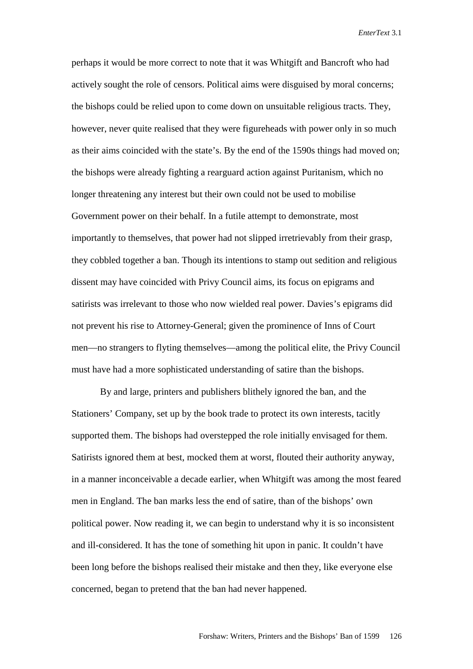perhaps it would be more correct to note that it was Whitgift and Bancroft who had actively sought the role of censors. Political aims were disguised by moral concerns; the bishops could be relied upon to come down on unsuitable religious tracts. They, however, never quite realised that they were figureheads with power only in so much as their aims coincided with the state's. By the end of the 1590s things had moved on; the bishops were already fighting a rearguard action against Puritanism, which no longer threatening any interest but their own could not be used to mobilise Government power on their behalf. In a futile attempt to demonstrate, most importantly to themselves, that power had not slipped irretrievably from their grasp, they cobbled together a ban. Though its intentions to stamp out sedition and religious dissent may have coincided with Privy Council aims, its focus on epigrams and satirists was irrelevant to those who now wielded real power. Davies's epigrams did not prevent his rise to Attorney-General; given the prominence of Inns of Court men—no strangers to flyting themselves—among the political elite, the Privy Council must have had a more sophisticated understanding of satire than the bishops.

 By and large, printers and publishers blithely ignored the ban, and the Stationers' Company, set up by the book trade to protect its own interests, tacitly supported them. The bishops had overstepped the role initially envisaged for them. Satirists ignored them at best, mocked them at worst, flouted their authority anyway, in a manner inconceivable a decade earlier, when Whitgift was among the most feared men in England. The ban marks less the end of satire, than of the bishops' own political power. Now reading it, we can begin to understand why it is so inconsistent and ill-considered. It has the tone of something hit upon in panic. It couldn't have been long before the bishops realised their mistake and then they, like everyone else concerned, began to pretend that the ban had never happened.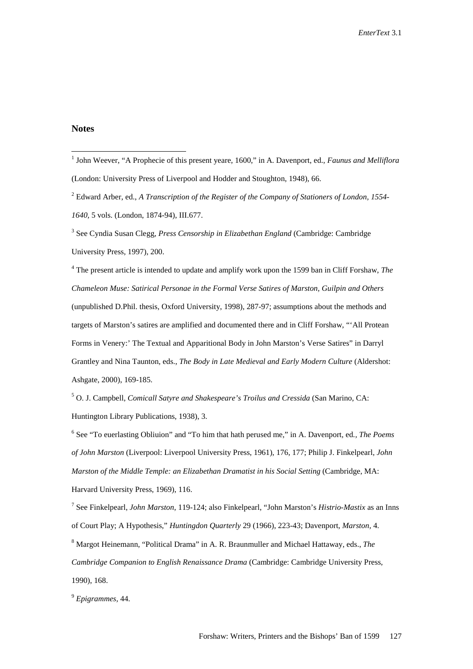#### **Notes**

3 See Cyndia Susan Clegg, *Press Censorship in Elizabethan England* (Cambridge: Cambridge University Press, 1997), 200.

4 The present article is intended to update and amplify work upon the 1599 ban in Cliff Forshaw, *The Chameleon Muse: Satirical Personae in the Formal Verse Satires of Marston, Guilpin and Others*  (unpublished D.Phil. thesis, Oxford University, 1998), 287-97; assumptions about the methods and targets of Marston's satires are amplified and documented there and in Cliff Forshaw, "'All Protean Forms in Venery:' The Textual and Apparitional Body in John Marston's Verse Satires" in Darryl Grantley and Nina Taunton, eds., *The Body in Late Medieval and Early Modern Culture* (Aldershot: Ashgate, 2000), 169-185.

5 O. J. Campbell, *Comicall Satyre and Shakespeare's Troilus and Cressida* (San Marino, CA: Huntington Library Publications, 1938), 3.

6 See "To euerlasting Obliuion" and "To him that hath perused me," in A. Davenport, ed*., The Poems of John Marston* (Liverpool: Liverpool University Press, 1961), 176, 177; Philip J. Finkelpearl, *John Marston of the Middle Temple: an Elizabethan Dramatist in his Social Setting* (Cambridge, MA: Harvard University Press, 1969), 116.

7 See Finkelpearl, *John Marston*, 119-124; also Finkelpearl, "John Marston's *Histrio-Mastix* as an Inns of Court Play; A Hypothesis," *Huntingdon Quarterly* 29 (1966), 223-43; Davenport, *Marston,* 4. 8 Margot Heinemann, "Political Drama" in A. R. Braunmuller and Michael Hattaway, eds., *The Cambridge Companion to English Renaissance Drama* (Cambridge: Cambridge University Press, 1990), 168.

<sup>9</sup> *Epigrammes,* 44.

 1 John Weever, "A Prophecie of this present yeare, 1600," in A. Davenport, ed., *Faunus and Melliflora* (London: University Press of Liverpool and Hodder and Stoughton, 1948), 66.

<sup>2</sup> Edward Arber, ed., *A Transcription of the Register of the Company of Stationers of London, 1554- 1640,* 5 vols. (London, 1874-94), III.677.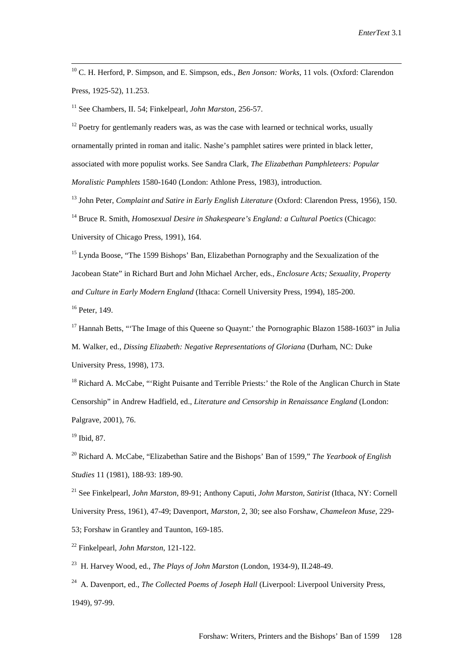10 C. H. Herford, P. Simpson, and E. Simpson, eds., *Ben Jonson: Works*, 11 vols. (Oxford: Clarendon Press, 1925-52), 11.253.

11 See Chambers, II. 54; Finkelpearl, *John Marston*, 256-57.

 $12$  Poetry for gentlemanly readers was, as was the case with learned or technical works, usually ornamentally printed in roman and italic. Nashe's pamphlet satires were printed in black letter, associated with more populist works. See Sandra Clark*, The Elizabethan Pamphleteers: Popular Moralistic Pamphlets* 1580-1640 (London: Athlone Press, 1983), introduction.

13 John Peter, *Complaint and Satire in Early English Literature* (Oxford: Clarendon Press, 1956), 150.

14 Bruce R. Smith, *Homosexual Desire in Shakespeare's England: a Cultural Poetics* (Chicago: University of Chicago Press, 1991), 164.

<sup>15</sup> Lynda Boose, "The 1599 Bishops' Ban, Elizabethan Pornography and the Sexualization of the Jacobean State" in Richard Burt and John Michael Archer, eds.*, Enclosure Acts; Sexuality, Property and Culture in Early Modern England* (Ithaca: Cornell University Press, 1994), 185-200. 16 Peter, 149.

<sup>17</sup> Hannah Betts, "The Image of this Queene so Quaynt:' the Pornographic Blazon 1588-1603" in Julia M. Walker, ed., *Dissing Elizabeth: Negative Representations of Gloriana* (Durham, NC: Duke University Press, 1998), 173.

<sup>18</sup> Richard A. McCabe, "'Right Puisante and Terrible Priests:' the Role of the Anglican Church in State Censorship" in Andrew Hadfield, ed., *Literature and Censorship in Renaissance England* (London: Palgrave, 2001), 76.

19 Ibid, 87.

20 Richard A. McCabe, "Elizabethan Satire and the Bishops' Ban of 1599," *The Yearbook of English Studies* 11 (1981), 188-93: 189-90.

21 See Finkelpearl, *John Marston*, 89-91; Anthony Caputi, *John Marston, Satirist* (Ithaca, NY: Cornell University Press, 1961), 47-49; Davenport, *Marston,* 2, 30; see also Forshaw, *Chameleon Muse,* 229- 53; Forshaw in Grantley and Taunton, 169-185.

22 Finkelpearl*, John Marston*, 121-122.

23 H. Harvey Wood, ed., *The Plays of John Marston* (London, 1934-9), II.248-49.

<sup>24</sup> A. Davenport, ed., *The Collected Poems of Joseph Hall* (Liverpool: Liverpool University Press, 1949), 97-99.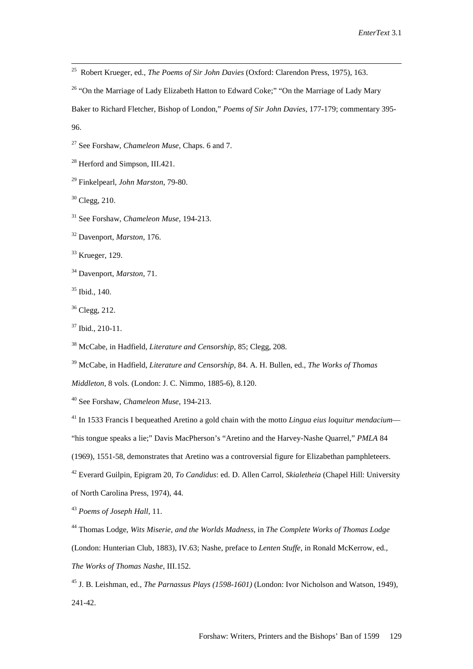25 Robert Krueger, ed., *The Poems of Sir John Davies* (Oxford: Clarendon Press, 1975), 163.

<sup>26</sup> "On the Marriage of Lady Elizabeth Hatton to Edward Coke;" "On the Marriage of Lady Mary

Baker to Richard Fletcher, Bishop of London," *Poems of Sir John Davies*, 177-179; commentary 395- 96.

27 See Forshaw, *Chameleon Muse,* Chaps. 6 and 7.

<sup>28</sup> Herford and Simpson, III.421.

29 Finkelpearl, *John Marston*, 79-80.

30 Clegg, 210.

31 See Forshaw, *Chameleon Muse*, 194-213.

32 Davenport, *Marston*, 176.

33 Krueger, 129.

34 Davenport, *Marston*, 71.

35 Ibid., 140.

 $36$  Clegg, 212.

 $37$  Ibid., 210-11.

38 McCabe, in Hadfield, *Literature and Censorship*, 85; Clegg, 208.

39 McCabe, in Hadfield, *Literature and Censorship*, 84. A. H. Bullen, ed., *The Works of Thomas* 

*Middleton*, 8 vols. (London: J. C. Nimmo, 1885-6), 8.120.

40 See Forshaw, *Chameleon Muse*, 194-213.

41 In 1533 Francis I bequeathed Aretino a gold chain with the motto *Lingua eius loquitur mendacium*—

"his tongue speaks a lie;" Davis MacPherson's "Aretino and the Harvey-Nashe Quarrel," *PMLA* 84

(1969), 1551-58, demonstrates that Aretino was a controversial figure for Elizabethan pamphleteers.

42 Everard Guilpin, Epigram 20*, To Candidus*: ed. D. Allen Carrol, *Skialetheia* (Chapel Hill: University

of North Carolina Press, 1974), 44.

<sup>43</sup> *Poems of Joseph Hall*, 11.

44 Thomas Lodge, *Wits Miserie, and the Worlds Madness*, in *The Complete Works of Thomas Lodge* (London: Hunterian Club, 1883), IV.63; Nashe, preface to *Lenten Stuffe*, in Ronald McKerrow, ed.*, The Works of Thomas Nashe*, III.152.

45 J. B. Leishman, ed., *The Parnassus Plays (1598-1601)* (London: Ivor Nicholson and Watson, 1949), 241-42.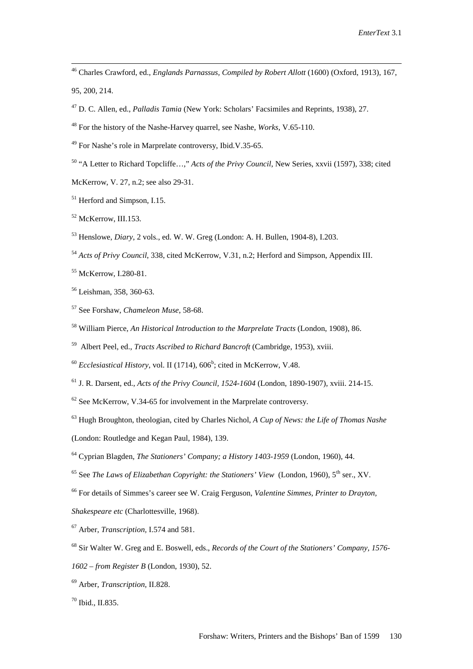47 D. C. Allen, ed., *Palladis Tamia* (New York: Scholars' Facsimiles and Reprints, 1938), 27.

48 For the history of the Nashe-Harvey quarrel, see Nashe, *Works,* V.65-110.

49 For Nashe's role in Marprelate controversy, Ibid.V.35-65.

50 "A Letter to Richard Topcliffe…," *Acts of the Privy Council*, New Series, xxvii (1597), 338; cited

McKerrow, V. 27, n.2; see also 29-31.

<sup>51</sup> Herford and Simpson, I.15.

52 McKerrow, III.153.

53 Henslowe, *Diary*, 2 vols., ed. W. W. Greg (London: A. H. Bullen, 1904-8), I.203.

<sup>54</sup> *Acts of Privy Council*, 338, cited McKerrow, V.31, n.2; Herford and Simpson, Appendix III.

55 McKerrow, I.280-81.

56 Leishman, 358, 360-63.

57 See Forshaw, *Chameleon Muse*, 58-68.

58 William Pierce, *An Historical Introduction to the Marprelate Tracts* (London, 1908), 86.

59 Albert Peel, ed., *Tracts Ascribed to Richard Bancroft* (Cambridge, 1953), xviii.

 $^{60}$  *Ecclesiastical History*, vol. II (1714),  $606^b$ ; cited in McKerrow, V.48.

61 J. R. Darsent, ed., *Acts of the Privy Council, 1524-1604* (London, 1890-1907), xviii. 214-15.

 $62$  See McKerrow, V.34-65 for involvement in the Marprelate controversy.

63 Hugh Broughton, theologian, cited by Charles Nichol, *A Cup of News: the Life of Thomas Nashe*

(London: Routledge and Kegan Paul, 1984), 139.

64 Cyprian Blagden, *The Stationers' Company; a History 1403-1959* (London, 1960), 44.

<sup>65</sup> See *The Laws of Elizabethan Copyright: the Stationers' View* (London, 1960), 5<sup>th</sup> ser., XV.

66 For details of Simmes's career see W. Craig Ferguson, *Valentine Simmes, Printer to Drayton, Shakespeare etc* (Charlottesville, 1968).

67 Arber, *Transcription,* I.574 and 581.

68 Sir Walter W. Greg and E. Boswell, eds., *Records of the Court of the Stationers' Company, 1576-*

*1602 – from Register B* (London, 1930), 52.

70 Ibid., II.835.

 <sup>46</sup> Charles Crawford, ed., *Englands Parnassus, Compiled by Robert Allott* (1600) (Oxford, 1913), 167, 95, 200, 214.

<sup>69</sup> Arber, *Transcription*, II.828.